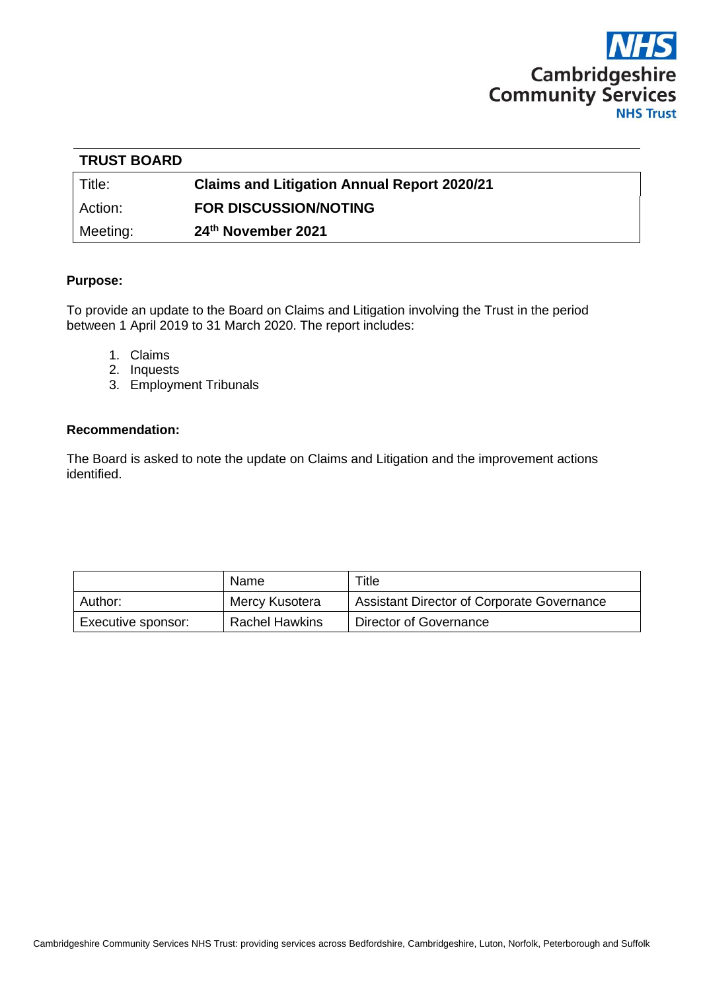

| <b>TRUST BOARD</b> |                                                    |  |
|--------------------|----------------------------------------------------|--|
| Title:             | <b>Claims and Litigation Annual Report 2020/21</b> |  |
| Action:            | <b>FOR DISCUSSION/NOTING</b>                       |  |
| Meeting:           | 24th November 2021                                 |  |

#### **Purpose:**

To provide an update to the Board on Claims and Litigation involving the Trust in the period between 1 April 2019 to 31 March 2020. The report includes:

- 1. Claims
- 2. Inquests
- 3. Employment Tribunals

#### **Recommendation:**

The Board is asked to note the update on Claims and Litigation and the improvement actions identified.

|                    | Name                  | Title                                      |
|--------------------|-----------------------|--------------------------------------------|
| Author:            | Mercy Kusotera        | Assistant Director of Corporate Governance |
| Executive sponsor: | <b>Rachel Hawkins</b> | Director of Governance                     |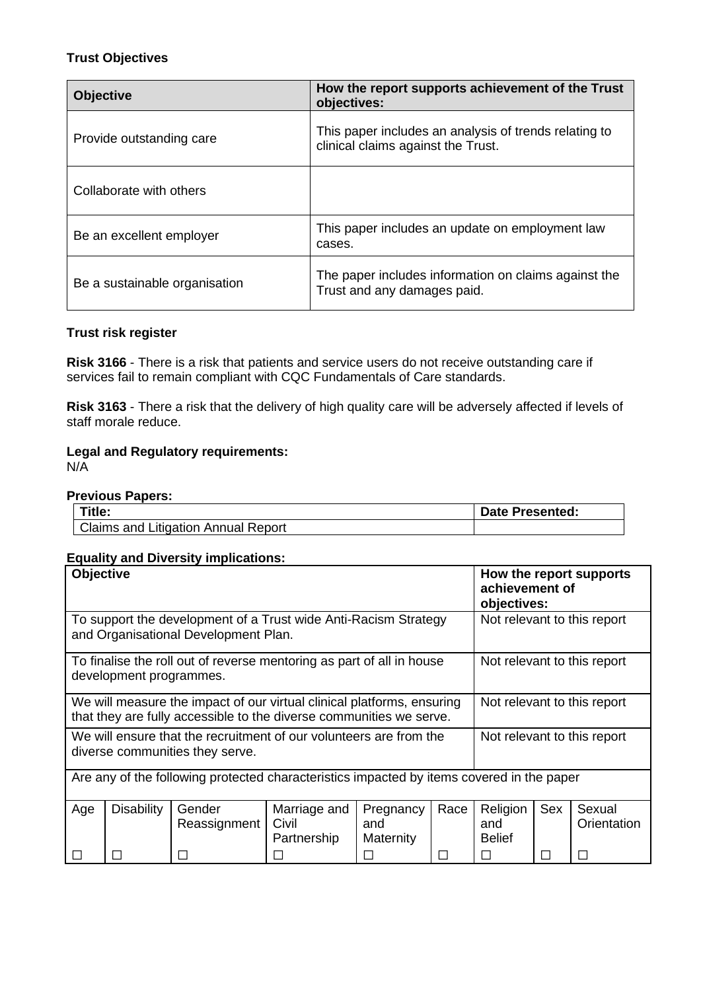# **Trust Objectives**

| <b>Objective</b>              | How the report supports achievement of the Trust<br>objectives:                             |
|-------------------------------|---------------------------------------------------------------------------------------------|
| Provide outstanding care      | This paper includes an analysis of trends relating to<br>clinical claims against the Trust. |
| Collaborate with others       |                                                                                             |
| Be an excellent employer      | This paper includes an update on employment law<br>cases.                                   |
| Be a sustainable organisation | The paper includes information on claims against the<br>Trust and any damages paid.         |

### **Trust risk register**

**Risk 3166** - There is a risk that patients and service users do not receive outstanding care if services fail to remain compliant with CQC Fundamentals of Care standards.

**Risk 3163** - There a risk that the delivery of high quality care will be adversely affected if levels of staff morale reduce.

### **Legal and Regulatory requirements:**

N/A

#### **Previous Papers:**

| Title:                                     | <b>Date Presented:</b> |
|--------------------------------------------|------------------------|
| <b>Claims and Litigation Annual Report</b> |                        |

#### **Equality and Diversity implications:**

| Objective                                                                                                                                     |                                                                                                                                 |                        |                                      | achievement of<br>objectives: |                             | How the report supports          |     |                       |
|-----------------------------------------------------------------------------------------------------------------------------------------------|---------------------------------------------------------------------------------------------------------------------------------|------------------------|--------------------------------------|-------------------------------|-----------------------------|----------------------------------|-----|-----------------------|
| To support the development of a Trust wide Anti-Racism Strategy<br>and Organisational Development Plan.                                       |                                                                                                                                 |                        |                                      |                               | Not relevant to this report |                                  |     |                       |
|                                                                                                                                               | To finalise the roll out of reverse mentoring as part of all in house<br>Not relevant to this report<br>development programmes. |                        |                                      |                               |                             |                                  |     |                       |
| We will measure the impact of our virtual clinical platforms, ensuring<br>that they are fully accessible to the diverse communities we serve. |                                                                                                                                 |                        |                                      |                               | Not relevant to this report |                                  |     |                       |
| We will ensure that the recruitment of our volunteers are from the<br>diverse communities they serve.                                         |                                                                                                                                 |                        |                                      |                               | Not relevant to this report |                                  |     |                       |
| Are any of the following protected characteristics impacted by items covered in the paper                                                     |                                                                                                                                 |                        |                                      |                               |                             |                                  |     |                       |
| Age                                                                                                                                           | <b>Disability</b>                                                                                                               | Gender<br>Reassignment | Marriage and<br>Civil<br>Partnership | Pregnancy<br>and<br>Maternity | Race                        | Religion<br>and<br><b>Belief</b> | Sex | Sexual<br>Orientation |
|                                                                                                                                               |                                                                                                                                 |                        |                                      |                               |                             |                                  |     | ×                     |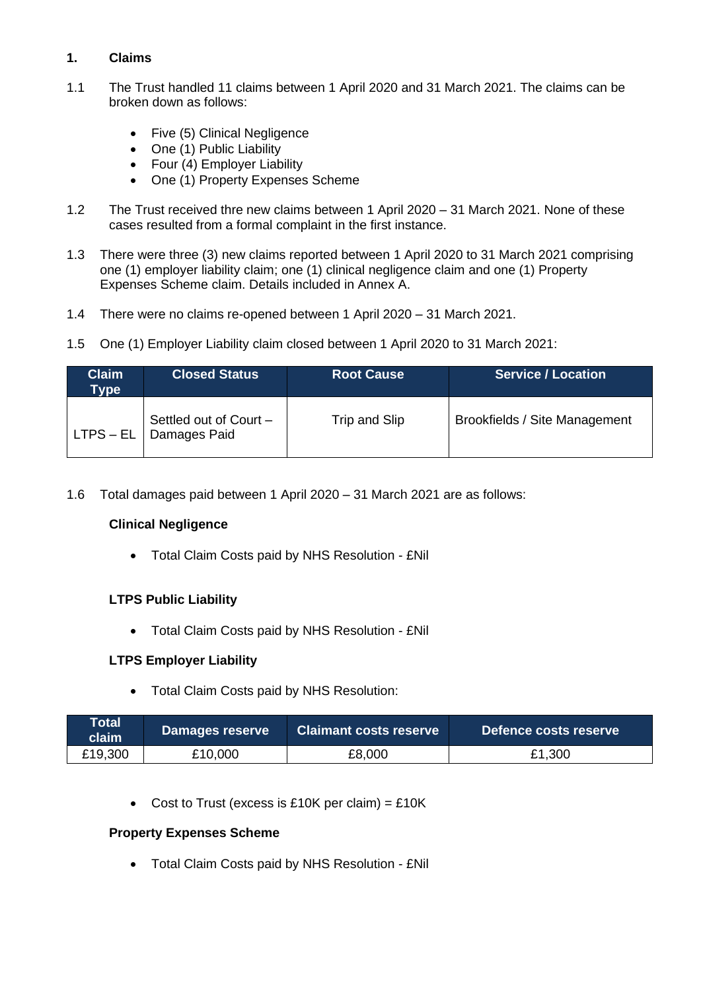# **1. Claims**

- 1.1 The Trust handled 11 claims between 1 April 2020 and 31 March 2021. The claims can be broken down as follows:
	- Five (5) Clinical Negligence
	- One (1) Public Liability
	- Four (4) Employer Liability
	- One (1) Property Expenses Scheme
- 1.2 The Trust received thre new claims between 1 April 2020 31 March 2021. None of these cases resulted from a formal complaint in the first instance.
- 1.3 There were three (3) new claims reported between 1 April 2020 to 31 March 2021 comprising one (1) employer liability claim; one (1) clinical negligence claim and one (1) Property Expenses Scheme claim. Details included in Annex A.
- 1.4 There were no claims re-opened between 1 April 2020 31 March 2021.
- 1.5 One (1) Employer Liability claim closed between 1 April 2020 to 31 March 2021:

| <b>Claim</b><br><b>Type</b> | <b>Closed Status</b>                   | <b>Root Cause</b> | <b>Service / Location</b>     |
|-----------------------------|----------------------------------------|-------------------|-------------------------------|
| $LTPS - EL$                 | Settled out of Court -<br>Damages Paid | Trip and Slip     | Brookfields / Site Management |

1.6 Total damages paid between 1 April 2020 – 31 March 2021 are as follows:

# **Clinical Negligence**

• Total Claim Costs paid by NHS Resolution - £Nil

# **LTPS Public Liability**

• Total Claim Costs paid by NHS Resolution - £Nil

#### **LTPS Employer Liability**

• Total Claim Costs paid by NHS Resolution:

| <b>Total</b><br>claim | Damages reserve | <b>Claimant costs reserve</b> | Defence costs reserve |
|-----------------------|-----------------|-------------------------------|-----------------------|
| £19,300               | £10,000         | £8,000                        | £1,300                |

• Cost to Trust (excess is £10K per claim) =  $£10K$ 

#### **Property Expenses Scheme**

• Total Claim Costs paid by NHS Resolution - £Nil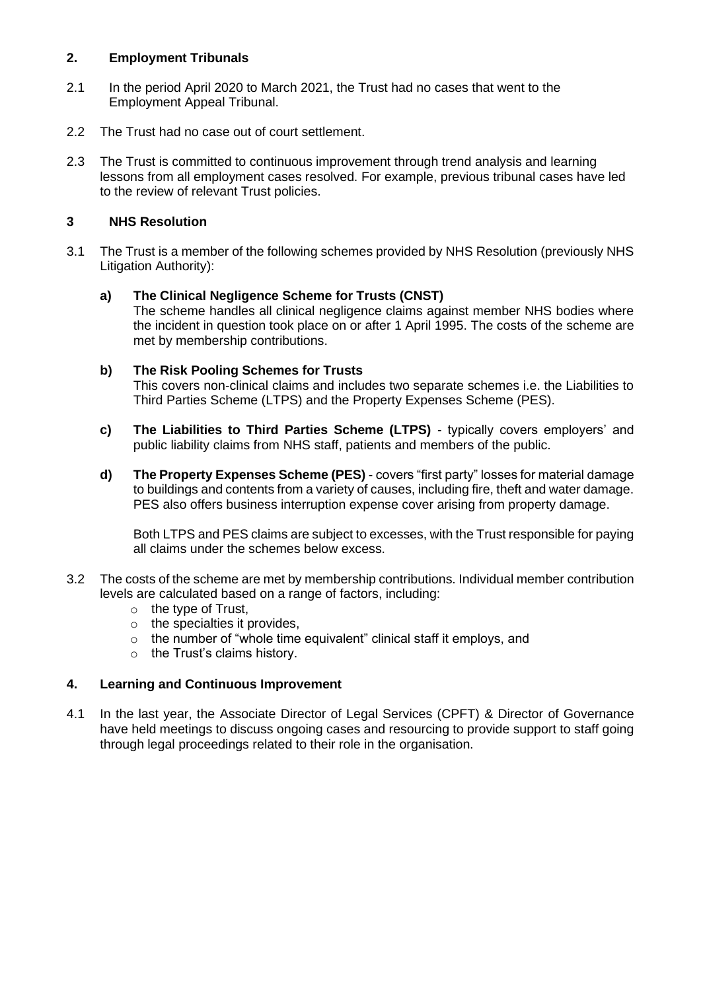## **2. Employment Tribunals**

- 2.1 In the period April 2020 to March 2021, the Trust had no cases that went to the Employment Appeal Tribunal.
- 2.2 The Trust had no case out of court settlement.
- 2.3 The Trust is committed to continuous improvement through trend analysis and learning lessons from all employment cases resolved. For example, previous tribunal cases have led to the review of relevant Trust policies.

### **3 NHS Resolution**

3.1 The Trust is a member of the following schemes provided by NHS Resolution (previously NHS Litigation Authority):

#### **a) The Clinical Negligence Scheme for Trusts (CNST)**

The scheme handles all clinical negligence claims against member NHS bodies where the incident in question took place on or after 1 April 1995. The costs of the scheme are met by membership contributions.

#### **b) The Risk Pooling Schemes for Trusts**

This covers non-clinical claims and includes two separate schemes i.e. the Liabilities to Third Parties Scheme (LTPS) and the Property Expenses Scheme (PES).

- **c) The Liabilities to Third Parties Scheme (LTPS)** typically covers employers' and public liability claims from NHS staff, patients and members of the public.
- **d) The Property Expenses Scheme (PES)** covers "first party" losses for material damage to buildings and contents from a variety of causes, including fire, theft and water damage. PES also offers business interruption expense cover arising from property damage.

Both LTPS and PES claims are subject to excesses, with the Trust responsible for paying all claims under the schemes below excess.

- 3.2 The costs of the scheme are met by membership contributions. Individual member contribution levels are calculated based on a range of factors, including:
	- o the type of Trust,
	- o the specialties it provides,
	- o the number of "whole time equivalent" clinical staff it employs, and
	- o the Trust's claims history.

#### **4. Learning and Continuous Improvement**

4.1 In the last year, the Associate Director of Legal Services (CPFT) & Director of Governance have held meetings to discuss ongoing cases and resourcing to provide support to staff going through legal proceedings related to their role in the organisation.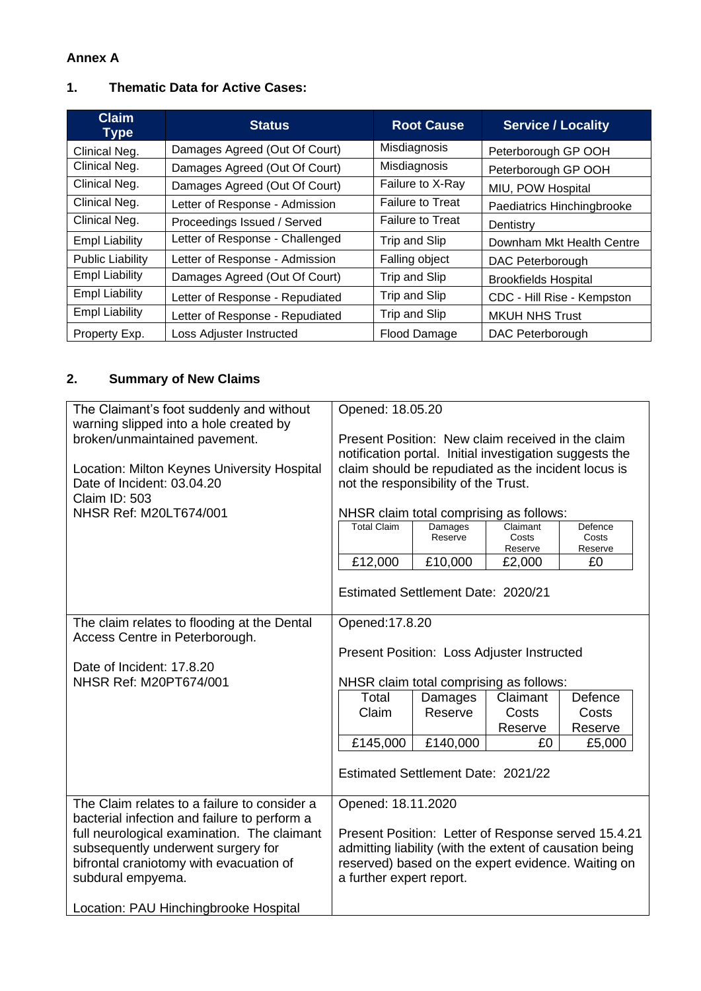# **Annex A**

# **1. Thematic Data for Active Cases:**

| <b>Claim</b><br><b>Type</b> | <b>Status</b>                   | <b>Root Cause</b>       | <b>Service / Locality</b>   |
|-----------------------------|---------------------------------|-------------------------|-----------------------------|
| Clinical Neg.               | Damages Agreed (Out Of Court)   | Misdiagnosis            | Peterborough GP OOH         |
| Clinical Neg.               | Damages Agreed (Out Of Court)   | Misdiagnosis            | Peterborough GP OOH         |
| Clinical Neg.               | Damages Agreed (Out Of Court)   | Failure to X-Ray        | MIU, POW Hospital           |
| Clinical Neg.               | Letter of Response - Admission  | <b>Failure to Treat</b> | Paediatrics Hinchingbrooke  |
| Clinical Neg.               | Proceedings Issued / Served     | <b>Failure to Treat</b> | Dentistry                   |
| <b>Empl Liability</b>       | Letter of Response - Challenged | Trip and Slip           | Downham Mkt Health Centre   |
| <b>Public Liability</b>     | Letter of Response - Admission  | Falling object          | DAC Peterborough            |
| <b>Empl Liability</b>       | Damages Agreed (Out Of Court)   | Trip and Slip           | <b>Brookfields Hospital</b> |
| <b>Empl Liability</b>       | Letter of Response - Repudiated | Trip and Slip           | CDC - Hill Rise - Kempston  |
| <b>Empl Liability</b>       | Letter of Response - Repudiated | Trip and Slip           | <b>MKUH NHS Trust</b>       |
| Property Exp.               | Loss Adjuster Instructed        | <b>Flood Damage</b>     | DAC Peterborough            |

# **2. Summary of New Claims**

| The Claimant's foot suddenly and without     | Opened: 18.05.20         |                                                         |          |                                                         |
|----------------------------------------------|--------------------------|---------------------------------------------------------|----------|---------------------------------------------------------|
| warning slipped into a hole created by       |                          |                                                         |          |                                                         |
| broken/unmaintained pavement.                |                          | Present Position: New claim received in the claim       |          |                                                         |
|                                              |                          | notification portal. Initial investigation suggests the |          |                                                         |
| Location: Milton Keynes University Hospital  |                          | claim should be repudiated as the incident locus is     |          |                                                         |
| Date of Incident: 03.04.20                   |                          | not the responsibility of the Trust.                    |          |                                                         |
| <b>Claim ID: 503</b>                         |                          |                                                         |          |                                                         |
| NHSR Ref: M20LT674/001                       |                          | NHSR claim total comprising as follows:                 |          |                                                         |
|                                              | <b>Total Claim</b>       | <b>Damages</b>                                          | Claimant | Defence                                                 |
|                                              |                          | Reserve                                                 | Costs    | Costs                                                   |
|                                              |                          |                                                         | Reserve  | Reserve                                                 |
|                                              | £12,000                  | £10,000                                                 | £2,000   | £0                                                      |
|                                              |                          |                                                         |          |                                                         |
|                                              |                          | Estimated Settlement Date: 2020/21                      |          |                                                         |
|                                              |                          |                                                         |          |                                                         |
| The claim relates to flooding at the Dental  | Opened: 17.8.20          |                                                         |          |                                                         |
| Access Centre in Peterborough.               |                          |                                                         |          |                                                         |
|                                              |                          | Present Position: Loss Adjuster Instructed              |          |                                                         |
| Date of Incident: 17.8.20                    |                          |                                                         |          |                                                         |
| NHSR Ref: M20PT674/001                       |                          |                                                         |          |                                                         |
|                                              |                          | NHSR claim total comprising as follows:                 |          |                                                         |
|                                              | Total                    | Damages                                                 | Claimant | Defence                                                 |
|                                              | Claim                    | Reserve                                                 | Costs    | Costs                                                   |
|                                              |                          |                                                         | Reserve  | Reserve                                                 |
|                                              | £145,000                 | £140,000                                                | £0       | £5,000                                                  |
|                                              |                          |                                                         |          |                                                         |
|                                              |                          | Estimated Settlement Date: 2021/22                      |          |                                                         |
|                                              |                          |                                                         |          |                                                         |
| The Claim relates to a failure to consider a | Opened: 18.11.2020       |                                                         |          |                                                         |
| bacterial infection and failure to perform a |                          |                                                         |          |                                                         |
| full neurological examination. The claimant  |                          |                                                         |          | Present Position: Letter of Response served 15.4.21     |
| subsequently underwent surgery for           |                          |                                                         |          | admitting liability (with the extent of causation being |
| bifrontal craniotomy with evacuation of      |                          |                                                         |          | reserved) based on the expert evidence. Waiting on      |
|                                              |                          |                                                         |          |                                                         |
| subdural empyema.                            | a further expert report. |                                                         |          |                                                         |
|                                              |                          |                                                         |          |                                                         |
| Location: PAU Hinchingbrooke Hospital        |                          |                                                         |          |                                                         |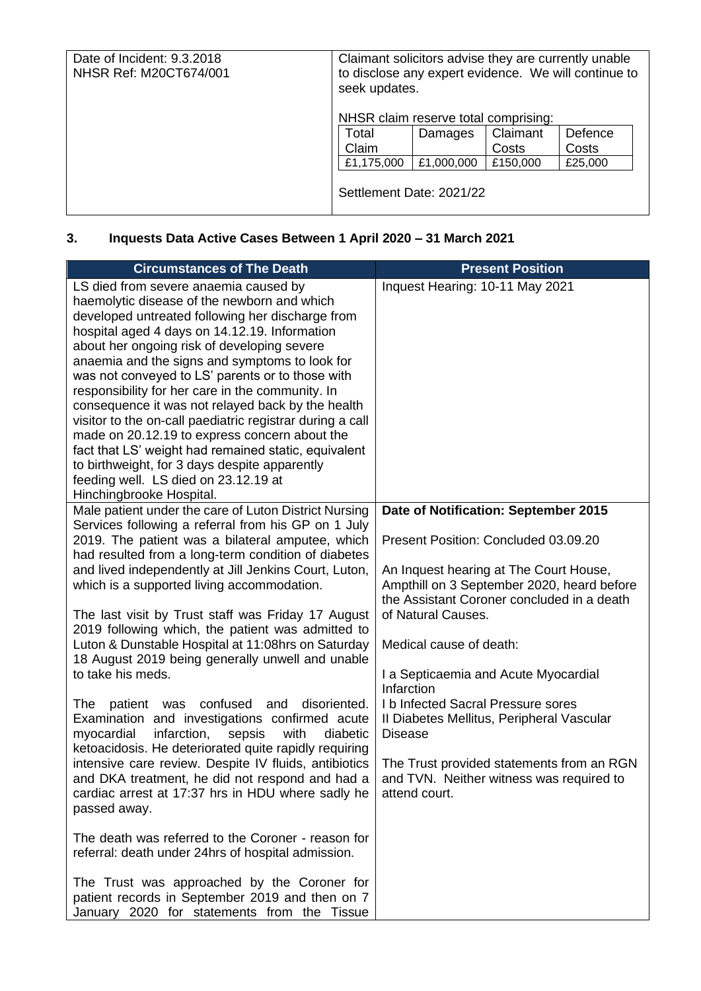| Date of Incident: 9.3.2018<br>NHSR Ref: M20CT674/001 | Claimant solicitors advise they are currently unable<br>to disclose any expert evidence. We will continue to<br>seek updates. |            |          |         |
|------------------------------------------------------|-------------------------------------------------------------------------------------------------------------------------------|------------|----------|---------|
|                                                      | NHSR claim reserve total comprising:                                                                                          |            |          |         |
|                                                      | Total                                                                                                                         | Damages    | Claimant | Defence |
|                                                      | Claim                                                                                                                         |            | Costs    | Costs   |
|                                                      | £1,175,000                                                                                                                    | £1,000,000 | £150,000 | £25,000 |
|                                                      | Settlement Date: 2021/22                                                                                                      |            |          |         |

# **3. Inquests Data Active Cases Between 1 April 2020 – 31 March 2021**

| <b>Circumstances of The Death</b>                                                                                                                                                                                                                                                                                                                                                                                                                                                                                                                                                                                                                                                                                                                  | <b>Present Position</b>                                                                                                            |
|----------------------------------------------------------------------------------------------------------------------------------------------------------------------------------------------------------------------------------------------------------------------------------------------------------------------------------------------------------------------------------------------------------------------------------------------------------------------------------------------------------------------------------------------------------------------------------------------------------------------------------------------------------------------------------------------------------------------------------------------------|------------------------------------------------------------------------------------------------------------------------------------|
| LS died from severe anaemia caused by<br>haemolytic disease of the newborn and which<br>developed untreated following her discharge from<br>hospital aged 4 days on 14.12.19. Information<br>about her ongoing risk of developing severe<br>anaemia and the signs and symptoms to look for<br>was not conveyed to LS' parents or to those with<br>responsibility for her care in the community. In<br>consequence it was not relayed back by the health<br>visitor to the on-call paediatric registrar during a call<br>made on 20.12.19 to express concern about the<br>fact that LS' weight had remained static, equivalent<br>to birthweight, for 3 days despite apparently<br>feeding well. LS died on 23.12.19 at<br>Hinchingbrooke Hospital. | Inquest Hearing: 10-11 May 2021                                                                                                    |
| Male patient under the care of Luton District Nursing<br>Services following a referral from his GP on 1 July                                                                                                                                                                                                                                                                                                                                                                                                                                                                                                                                                                                                                                       | Date of Notification: September 2015                                                                                               |
| 2019. The patient was a bilateral amputee, which<br>had resulted from a long-term condition of diabetes                                                                                                                                                                                                                                                                                                                                                                                                                                                                                                                                                                                                                                            | Present Position: Concluded 03.09.20                                                                                               |
| and lived independently at Jill Jenkins Court, Luton,<br>which is a supported living accommodation.                                                                                                                                                                                                                                                                                                                                                                                                                                                                                                                                                                                                                                                | An Inquest hearing at The Court House,<br>Ampthill on 3 September 2020, heard before<br>the Assistant Coroner concluded in a death |
| The last visit by Trust staff was Friday 17 August<br>2019 following which, the patient was admitted to                                                                                                                                                                                                                                                                                                                                                                                                                                                                                                                                                                                                                                            | of Natural Causes.                                                                                                                 |
| Luton & Dunstable Hospital at 11:08hrs on Saturday<br>18 August 2019 being generally unwell and unable                                                                                                                                                                                                                                                                                                                                                                                                                                                                                                                                                                                                                                             | Medical cause of death:                                                                                                            |
| to take his meds.                                                                                                                                                                                                                                                                                                                                                                                                                                                                                                                                                                                                                                                                                                                                  | I a Septicaemia and Acute Myocardial<br>Infarction                                                                                 |
| patient was confused and<br>disoriented.<br>The<br>Examination and investigations confirmed acute<br>myocardial<br>infarction,<br>sepsis<br>with<br>diabetic<br>ketoacidosis. He deteriorated quite rapidly requiring                                                                                                                                                                                                                                                                                                                                                                                                                                                                                                                              | I b Infected Sacral Pressure sores<br>Il Diabetes Mellitus, Peripheral Vascular<br><b>Disease</b>                                  |
| intensive care review. Despite IV fluids, antibiotics<br>and DKA treatment, he did not respond and had a<br>cardiac arrest at 17:37 hrs in HDU where sadly he<br>passed away.                                                                                                                                                                                                                                                                                                                                                                                                                                                                                                                                                                      | The Trust provided statements from an RGN<br>and TVN. Neither witness was required to<br>attend court.                             |
| The death was referred to the Coroner - reason for<br>referral: death under 24hrs of hospital admission.                                                                                                                                                                                                                                                                                                                                                                                                                                                                                                                                                                                                                                           |                                                                                                                                    |
| The Trust was approached by the Coroner for<br>patient records in September 2019 and then on 7<br>January 2020 for statements from the Tissue                                                                                                                                                                                                                                                                                                                                                                                                                                                                                                                                                                                                      |                                                                                                                                    |